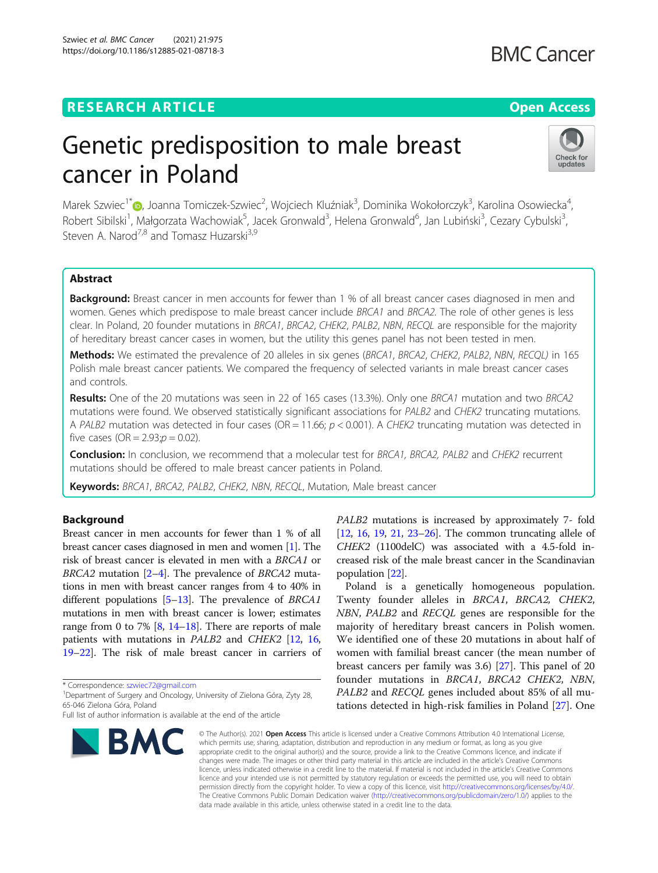## **RESEARCH ARTICLE Example 2014 12:30 The Open Access**

## **BMC Cancer**

# Genetic predisposition to male breast cancer in Poland



Marek Szwiec<sup>1\*</sup>®[,](http://orcid.org/0000-0001-6981-6356) Joanna Tomiczek-Szwiec<sup>2</sup>, Wojciech Kluźniak<sup>3</sup>, Dominika Wokołorczyk<sup>3</sup>, Karolina Osowiecka<sup>4</sup> , Robert Sibilski<sup>1</sup>, Małgorzata Wachowiak<sup>5</sup>, Jacek Gronwald<sup>3</sup>, Helena Gronwald<sup>6</sup>, Jan Lubiński<sup>3</sup>, Cezary Cybulski<sup>3</sup> , Steven A. Narod<sup>7,8</sup> and Tomasz Huzarski<sup>3,9</sup>

## Abstract

**Background:** Breast cancer in men accounts for fewer than 1 % of all breast cancer cases diagnosed in men and women. Genes which predispose to male breast cancer include BRCA1 and BRCA2. The role of other genes is less clear. In Poland, 20 founder mutations in BRCA1, BRCA2, CHEK2, PALB2, NBN, RECQL are responsible for the majority of hereditary breast cancer cases in women, but the utility this genes panel has not been tested in men.

Methods: We estimated the prevalence of 20 alleles in six genes (BRCA1, BRCA2, CHEK2, PALB2, NBN, RECQL) in 165 Polish male breast cancer patients. We compared the frequency of selected variants in male breast cancer cases and controls.

Results: One of the 20 mutations was seen in 22 of 165 cases (13.3%). Only one BRCA1 mutation and two BRCA2 mutations were found. We observed statistically significant associations for PALB2 and CHEK2 truncating mutations. A PALB2 mutation was detected in four cases (OR = 11.66;  $p < 0.001$ ). A CHEK2 truncating mutation was detected in five cases (OR =  $2.93; p = 0.02$ ).

**Conclusion:** In conclusion, we recommend that a molecular test for BRCA1, BRCA2, PALB2 and CHEK2 recurrent mutations should be offered to male breast cancer patients in Poland.

Keywords: BRCA1, BRCA2, PALB2, CHEK2, NBN, RECQL, Mutation, Male breast cancer

## Background

Breast cancer in men accounts for fewer than 1 % of all breast cancer cases diagnosed in men and women [[1\]](#page-6-0). The risk of breast cancer is elevated in men with a BRCA1 or BRCA[2](#page-6-0) mutation  $[2-4]$  $[2-4]$  $[2-4]$ . The prevalence of BRCA2 mutations in men with breast cancer ranges from 4 to 40% in different populations [\[5](#page-6-0)–[13](#page-6-0)]. The prevalence of BRCA1 mutations in men with breast cancer is lower; estimates range from 0 to 7% [\[8](#page-6-0), [14](#page-6-0)–[18\]](#page-6-0). There are reports of male patients with mutations in PALB2 and CHEK2 [\[12](#page-6-0), [16](#page-6-0), [19](#page-6-0)–[22\]](#page-6-0). The risk of male breast cancer in carriers of

\* Correspondence: [szwiec72@gmail.com](mailto:szwiec72@gmail.com) <sup>1</sup>

Full list of author information is available at the end of the article



PALB2 mutations is increased by approximately 7- fold [[12](#page-6-0), [16,](#page-6-0) [19](#page-6-0), [21](#page-6-0), [23](#page-6-0)–[26](#page-6-0)]. The common truncating allele of CHEK2 (1100delC) was associated with a 4.5-fold increased risk of the male breast cancer in the Scandinavian population [[22](#page-6-0)].

Poland is a genetically homogeneous population. Twenty founder alleles in BRCA1, BRCA2, CHEK2, NBN, PALB2 and RECQL genes are responsible for the majority of hereditary breast cancers in Polish women. We identified one of these 20 mutations in about half of women with familial breast cancer (the mean number of breast cancers per family was 3.6) [[27\]](#page-6-0). This panel of 20 founder mutations in BRCA1, BRCA2 CHEK2, NBN, PALB2 and RECQL genes included about 85% of all mutations detected in high-risk families in Poland [[27\]](#page-6-0). One

© The Author(s), 2021 **Open Access** This article is licensed under a Creative Commons Attribution 4.0 International License, which permits use, sharing, adaptation, distribution and reproduction in any medium or format, as long as you give appropriate credit to the original author(s) and the source, provide a link to the Creative Commons licence, and indicate if changes were made. The images or other third party material in this article are included in the article's Creative Commons licence, unless indicated otherwise in a credit line to the material. If material is not included in the article's Creative Commons licence and your intended use is not permitted by statutory regulation or exceeds the permitted use, you will need to obtain permission directly from the copyright holder. To view a copy of this licence, visit [http://creativecommons.org/licenses/by/4.0/.](http://creativecommons.org/licenses/by/4.0/) The Creative Commons Public Domain Dedication waiver [\(http://creativecommons.org/publicdomain/zero/1.0/](http://creativecommons.org/publicdomain/zero/1.0/)) applies to the data made available in this article, unless otherwise stated in a credit line to the data.

<sup>&</sup>lt;sup>1</sup>Department of Surgery and Oncology, University of Zielona Góra, Zyty 28, 65-046 Zielona Góra, Poland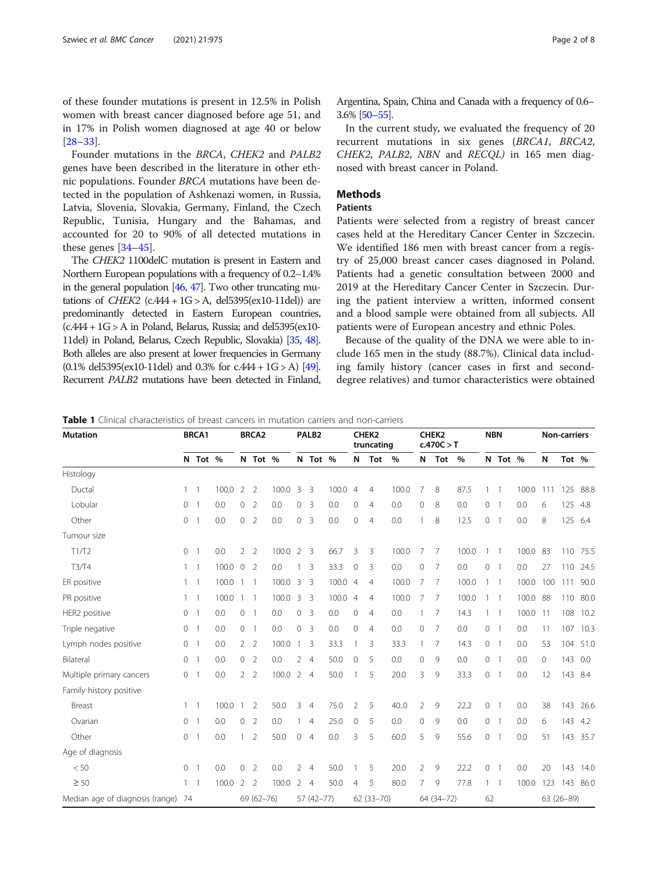<span id="page-1-0"></span>of these founder mutations is present in 12.5% in Polish women with breast cancer diagnosed before age 51, and in 17% in Polish women diagnosed at age 40 or below [[28](#page-6-0)–[33](#page-6-0)].

Founder mutations in the BRCA, CHEK2 and PALB2 genes have been described in the literature in other ethnic populations. Founder BRCA mutations have been detected in the population of Ashkenazi women, in Russia, Latvia, Slovenia, Slovakia, Germany, Finland, the Czech Republic, Tunisia, Hungary and the Bahamas, and accounted for 20 to 90% of all detected mutations in these genes [[34](#page-6-0)–[45](#page-7-0)].

The CHEK2 1100delC mutation is present in Eastern and Northern European populations with a frequency of 0.2–1.4% in the general population [\[46](#page-7-0), [47](#page-7-0)]. Two other truncating mutations of *CHEK2* (c.444 +  $1G > A$ , del5395(ex10-11del)) are predominantly detected in Eastern European countries,  $(c.444 + 1G > A$  in Poland, Belarus, Russia; and del5395(ex10-11del) in Poland, Belarus, Czech Republic, Slovakia) [\[35](#page-6-0), [48\]](#page-7-0). Both alleles are also present at lower frequencies in Germany  $(0.1\%$  del5395(ex10-11del) and 0.3% for c.444 + 1G > A) [\[49\]](#page-7-0). Recurrent PALB2 mutations have been detected in Finland,

Argentina, Spain, China and Canada with a frequency of 0.6– 3.6% [[50](#page-7-0)–[55](#page-7-0)].

In the current study, we evaluated the frequency of 20 recurrent mutations in six genes (BRCA1, BRCA2, CHEK2, PALB2, NBN and RECQL) in 165 men diagnosed with breast cancer in Poland.

## **Methods**

## **Patients**

Patients were selected from a registry of breast cancer cases held at the Hereditary Cancer Center in Szczecin. We identified 186 men with breast cancer from a registry of 25,000 breast cancer cases diagnosed in Poland. Patients had a genetic consultation between 2000 and 2019 at the Hereditary Cancer Center in Szczecin. During the patient interview a written, informed consent and a blood sample were obtained from all subjects. All patients were of European ancestry and ethnic Poles.

Because of the quality of the DNA we were able to include 165 men in the study (88.7%). Clinical data including family history (cancer cases in first and seconddegree relatives) and tumor characteristics were obtained

 $\overline{......}$ 

Table 1 Clinical characteristics of breast cancers in mutation carriers and non-carriers

| <b>Mutation</b>                    |              | <b>BRCA1</b>   |       | <b>BRCA2</b>        |                          | PALB <sub>2</sub> |              | <b>CHEK2</b><br>truncating |       | CHEK <sub>2</sub><br>c.470C > T |                | <b>NBN</b> |              | <b>Non-carriers</b> |       |         |                          |          |         |            |      |
|------------------------------------|--------------|----------------|-------|---------------------|--------------------------|-------------------|--------------|----------------------------|-------|---------------------------------|----------------|------------|--------------|---------------------|-------|---------|--------------------------|----------|---------|------------|------|
|                                    |              | N Tot %        |       |                     | N Tot %                  |                   |              | N Tot %                    |       | N                               | Tot            | %          | N            | Tot                 | $\%$  |         | N Tot %                  |          | N       | Tot %      |      |
| Histology                          |              |                |       |                     |                          |                   |              |                            |       |                                 |                |            |              |                     |       |         |                          |          |         |            |      |
| Ductal                             | $\mathbf{1}$ | $\overline{1}$ | 100.0 | $\overline{2}$      | $\overline{2}$           | 100.0             | 3            | -3                         | 100.0 | $\overline{4}$                  | $\overline{4}$ | 100.0      | 7            | 8                   | 87.5  |         | $\mathbf{1}$             | 100.0    | 111     | 125        | 88.8 |
| Lobular                            | $\mathbf{0}$ | $\overline{1}$ | 0.0   | $\mathsf{O}\xspace$ | $\overline{2}$           | 0.0               | 0            | $\overline{3}$             | 0.0   | 0                               | $\overline{4}$ | 0.0        | $\mathbf{0}$ | 8                   | 0.0   | 0       | 1                        | 0.0      | 6       | 125        | 4.8  |
| Other                              | $\mathbf{0}$ | $\mathbf{1}$   | 0.0   | 0                   | $\overline{2}$           | 0.0               | $\circ$      | 3                          | 0.0   | $\mathbf 0$                     | $\overline{4}$ | 0.0        |              | 8                   | 12.5  | 0       | $\mathbf{1}$             | 0.0      | 8       | 125        | 6.4  |
| Tumour size                        |              |                |       |                     |                          |                   |              |                            |       |                                 |                |            |              |                     |       |         |                          |          |         |            |      |
| T1/T2                              | $\circ$      | $\overline{1}$ | 0.0   | $\overline{2}$      | $\overline{2}$           | 100.0             | 2            | $\overline{\mathbf{3}}$    | 66.7  | 3                               | 3              | 100.0      | 7            | 7                   | 100.0 | 1       | $\overline{1}$           | 100.0    | 83      | 110        | 75.5 |
| T3/T4                              | $\mathbf{1}$ | $\overline{1}$ | 100.0 | $\overline{0}$      | $\overline{2}$           | 0.0               |              | 3                          | 33.3  | $\mathbf{0}$                    | 3              | 0.0        | $\mathbf{0}$ | 7                   | 0.0   | 0       | $\overline{1}$           | 0.0      | 27      | 110        | 24.5 |
| ER positive                        | $\mathbf{1}$ | $\overline{1}$ | 100.0 | $\mathbf{1}$        | $\overline{\phantom{0}}$ | 100.0             | 3            | 3                          | 100.0 | $\overline{4}$                  | $\overline{4}$ | 100.0      | 7            | 7                   | 100.0 | 1       | $\overline{1}$           | 100.0    | 100     | 111        | 90.0 |
| PR positive                        | $\mathbf{1}$ | $\overline{1}$ | 100.0 | $\mathbf{1}$        | $\overline{\phantom{0}}$ | 100.0             | 3            | - 3                        | 100.0 | $\overline{4}$                  | 4              | 100.0      | 7            | -7                  | 100.0 | 1       | $\overline{1}$           | 100.0    | -88     | 110        | 80.0 |
| HER2 positive                      | $\circ$      | $\overline{1}$ | 0.0   | $\circ$             | $\overline{1}$           | 0.0               | 0            | 3                          | 0.0   | $\mathbf{0}$                    | $\overline{4}$ | 0.0        |              | 7                   | 14.3  | 1       | $\overline{\phantom{0}}$ | 100.0 11 |         | 108        | 10.2 |
| Triple negative                    | $\circ$      | $\overline{1}$ | 0.0   | $\circ$             | $\overline{1}$           | 0.0               | $\circ$      | $\overline{3}$             | 0.0   | $\mathsf{O}\xspace$             | 4              | 0.0        | $\mathbf{0}$ | 7                   | 0.0   | 0       | $\overline{1}$           | 0.0      | 11      | 107        | 10.3 |
| Lymph nodes positive               | 0            | $\overline{1}$ | 0.0   | $\overline{2}$      | $\overline{2}$           | 100.0             | $\mathbf{1}$ | 3                          | 33.3  | 1                               | 3              | 33.3       |              | 7                   | 14.3  | 0       | $\overline{1}$           | 0.0      | 53      | 104        | 51.0 |
| Bilateral                          | $\circ$      | $\overline{1}$ | 0.0   | $\circ$             | $\overline{2}$           | 0.0               |              | 24                         | 50.0  | $\mathbf{0}$                    | 5              | 0.0        | $\mathbf{0}$ | 9                   | 0.0   | $\circ$ | $\overline{\phantom{0}}$ | 0.0      | $\circ$ | 143        | 0.0  |
| Multiple primary cancers           | $\circ$      | $\mathbf{1}$   | 0.0   | $\overline{2}$      | $\overline{2}$           | 100.0 2 4         |              |                            | 50.0  |                                 | 5              | 20.0       | 3            | 9                   | 33.3  | 0       | $\mathbf{1}$             | 0.0      | 12      | 143        | 8.4  |
| Family history positive            |              |                |       |                     |                          |                   |              |                            |       |                                 |                |            |              |                     |       |         |                          |          |         |            |      |
| Breast                             | $\mathbf{1}$ | $\overline{1}$ | 100.0 | 1                   | $\overline{2}$           | 50.0              | 3            | $\overline{4}$             | 75.0  | $\overline{2}$                  | 5              | 40.0       | 2            | 9                   | 22.2  | 0       | 1                        | 0.0      | 38      | 143        | 26.6 |
| Ovarian                            | $\circ$      | $\overline{1}$ | 0.0   | $\circ$             | $\overline{2}$           | 0.0               |              | $\overline{4}$             | 25.0  | $\mathbf 0$                     | 5              | 0.0        | $\mathbf{0}$ | 9                   | 0.0   | 0       | $\overline{1}$           | 0.0      | 6       | 143        | 4.2  |
| Other                              | $\mathbf{0}$ | $\overline{1}$ | 0.0   | 1                   | $\overline{2}$           | 50.0              | $\circ$      | $\overline{4}$             | 0.0   | 3                               | 5              | 60.0       | 5            | 9                   | 55.6  | 0       | $\overline{1}$           | 0.0      | 51      | 143        | 35.7 |
| Age of diagnosis                   |              |                |       |                     |                          |                   |              |                            |       |                                 |                |            |              |                     |       |         |                          |          |         |            |      |
| < 50                               | $\circ$      | $\overline{1}$ | 0.0   | $\circ$             | $\overline{2}$           | 0.0               | 2            | $\overline{4}$             | 50.0  |                                 | 5              | 20.0       | 2            | 9                   | 22.2  | 0       | $\mathbf{1}$             | 0.0      | 20      | 143        | 14.0 |
| $\geq 50$                          | $\mathbf{1}$ | $\overline{1}$ | 100.0 | 2                   | $\overline{2}$           | 100.0             | 2            | $\overline{4}$             | 50.0  | 4                               | 5              | 80.0       | 7            | 9                   | 77.8  | 1       | $\overline{1}$           | 100.0    | 123     | 143        | 86.0 |
| Median age of diagnosis (range) 74 |              |                |       |                     | $69(62 - 76)$            |                   |              | $57(42 - 77)$              |       |                                 | $62(33 - 70)$  |            |              | 64 (34-72)          |       | 62      |                          |          |         | 63 (26-89) |      |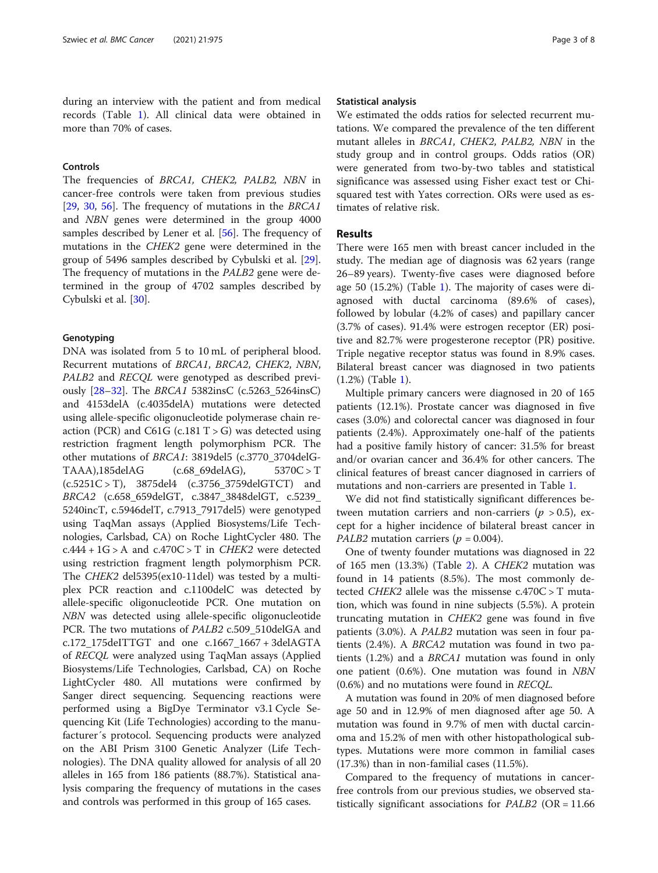during an interview with the patient and from medical records (Table [1\)](#page-1-0). All clinical data were obtained in more than 70% of cases.

## Controls

The frequencies of BRCA1, CHEK2, PALB2, NBN in cancer-free controls were taken from previous studies [[29,](#page-6-0) [30,](#page-6-0) [56\]](#page-7-0). The frequency of mutations in the BRCA1 and NBN genes were determined in the group 4000 samples described by Lener et al. [[56\]](#page-7-0). The frequency of mutations in the CHEK2 gene were determined in the group of 5496 samples described by Cybulski et al. [\[29](#page-6-0)]. The frequency of mutations in the PALB2 gene were determined in the group of 4702 samples described by Cybulski et al. [[30](#page-6-0)].

### Genotyping

DNA was isolated from 5 to 10 mL of peripheral blood. Recurrent mutations of BRCA1, BRCA2, CHEK2, NBN, PALB2 and RECQL were genotyped as described previously [[28](#page-6-0)–[32](#page-6-0)]. The BRCA1 5382insC (c.5263\_5264insC) and 4153delA (c.4035delA) mutations were detected using allele-specific oligonucleotide polymerase chain reaction (PCR) and C61G (c.181  $T > G$ ) was detected using restriction fragment length polymorphism PCR. The other mutations of BRCA1: 3819del5 (c.3770\_3704delG-TAAA),185delAG (c.68\_69delAG), 5370C > T (c.5251C > T), 3875del4 (c.3756\_3759delGTCT) and BRCA2 (c.658\_659delGT, c.3847\_3848delGT, c.5239\_ 5240incT, c.5946delT, c.7913\_7917del5) were genotyped using TaqMan assays (Applied Biosystems/Life Technologies, Carlsbad, CA) on Roche LightCycler 480. The  $c.444 + 1G > A$  and  $c.470C > T$  in *CHEK2* were detected using restriction fragment length polymorphism PCR. The CHEK2 del5395(ex10-11del) was tested by a multiplex PCR reaction and c.1100delC was detected by allele-specific oligonucleotide PCR. One mutation on NBN was detected using allele-specific oligonucleotide PCR. The two mutations of PALB2 c.509\_510delGA and c.172\_175deITTGT and one c.1667\_1667 + 3delAGTA of RECQL were analyzed using TaqMan assays (Applied Biosystems/Life Technologies, Carlsbad, CA) on Roche LightCycler 480. All mutations were confirmed by Sanger direct sequencing. Sequencing reactions were performed using a BigDye Terminator v3.1 Cycle Sequencing Kit (Life Technologies) according to the manufacturer´s protocol. Sequencing products were analyzed on the ABI Prism 3100 Genetic Analyzer (Life Technologies). The DNA quality allowed for analysis of all 20 alleles in 165 from 186 patients (88.7%). Statistical analysis comparing the frequency of mutations in the cases and controls was performed in this group of 165 cases.

#### Statistical analysis

We estimated the odds ratios for selected recurrent mutations. We compared the prevalence of the ten different mutant alleles in BRCA1, CHEK2, PALB2, NBN in the study group and in control groups. Odds ratios (OR) were generated from two-by-two tables and statistical significance was assessed using Fisher exact test or Chisquared test with Yates correction. ORs were used as estimates of relative risk.

## Results

There were 165 men with breast cancer included in the study. The median age of diagnosis was 62 years (range 26–89 years). Twenty-five cases were diagnosed before age 50 (15.2%) (Table [1\)](#page-1-0). The majority of cases were diagnosed with ductal carcinoma (89.6% of cases), followed by lobular (4.2% of cases) and papillary cancer (3.7% of cases). 91.4% were estrogen receptor (ER) positive and 82.7% were progesterone receptor (PR) positive. Triple negative receptor status was found in 8.9% cases. Bilateral breast cancer was diagnosed in two patients (1.2%) (Table [1\)](#page-1-0).

Multiple primary cancers were diagnosed in 20 of 165 patients (12.1%). Prostate cancer was diagnosed in five cases (3.0%) and colorectal cancer was diagnosed in four patients (2.4%). Approximately one-half of the patients had a positive family history of cancer: 31.5% for breast and/or ovarian cancer and 36.4% for other cancers. The clinical features of breast cancer diagnosed in carriers of mutations and non-carriers are presented in Table [1.](#page-1-0)

We did not find statistically significant differences between mutation carriers and non-carriers ( $p > 0.5$ ), except for a higher incidence of bilateral breast cancer in *PALB2* mutation carriers ( $p = 0.004$ ).

One of twenty founder mutations was diagnosed in 22 of 165 men (13.3%) (Table [2\)](#page-3-0). A CHEK2 mutation was found in 14 patients (8.5%). The most commonly detected CHEK2 allele was the missense c.470C > T mutation, which was found in nine subjects (5.5%). A protein truncating mutation in CHEK2 gene was found in five patients (3.0%). A PALB2 mutation was seen in four patients (2.4%). A BRCA2 mutation was found in two patients (1.2%) and a BRCA1 mutation was found in only one patient (0.6%). One mutation was found in NBN (0.6%) and no mutations were found in RECQL.

A mutation was found in 20% of men diagnosed before age 50 and in 12.9% of men diagnosed after age 50. A mutation was found in 9.7% of men with ductal carcinoma and 15.2% of men with other histopathological subtypes. Mutations were more common in familial cases (17.3%) than in non-familial cases (11.5%).

Compared to the frequency of mutations in cancerfree controls from our previous studies, we observed statistically significant associations for  $PALB2$  (OR = 11.66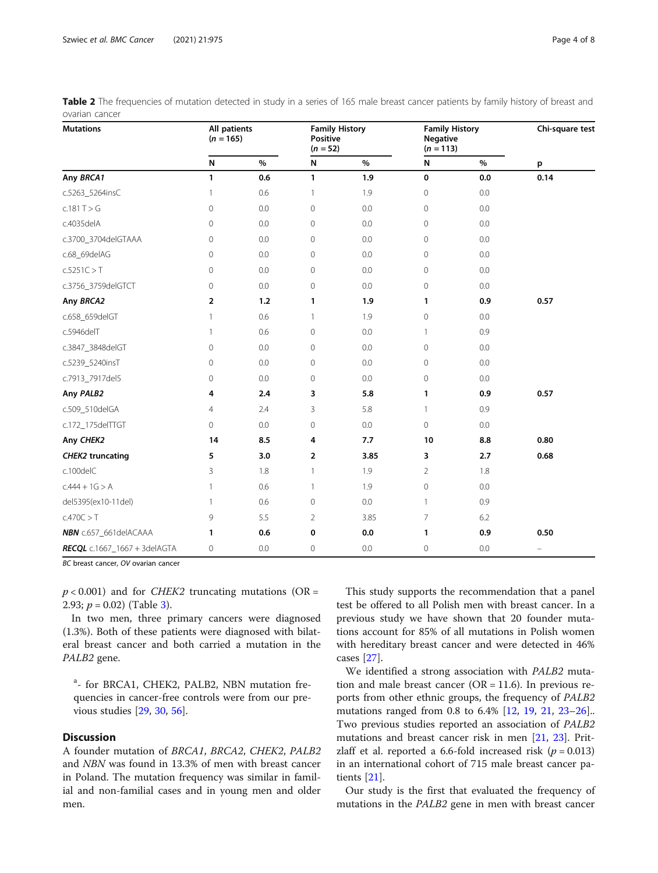| <b>Mutations</b>                 | All patients<br>$(n = 165)$ |     | <b>Family History</b><br><b>Positive</b><br>$(n = 52)$ |         | <b>Family History</b><br><b>Negative</b><br>$(n = 113)$ |      | Chi-square test<br>p     |  |
|----------------------------------|-----------------------------|-----|--------------------------------------------------------|---------|---------------------------------------------------------|------|--------------------------|--|
|                                  | N                           | %   | N                                                      | $\%$    | N                                                       | $\%$ |                          |  |
| Any BRCA1                        | 1                           | 0.6 | 1                                                      | 1.9     | 0                                                       | 0.0  | 0.14                     |  |
| c.5263_5264insC                  | 1                           | 0.6 | 1                                                      | 1.9     | $\mathbf 0$                                             | 0.0  |                          |  |
| c.181 T > G                      | $\mathbf 0$                 | 0.0 | $\mathbf 0$                                            | $0.0\,$ | $\mathbf 0$                                             | 0.0  |                          |  |
| c.4035delA                       | $\mathbf{0}$                | 0.0 | 0                                                      | 0.0     | $\mathbf{0}$                                            | 0.0  |                          |  |
| c.3700_3704delGTAAA              | 0                           | 0.0 | 0                                                      | 0.0     | 0                                                       | 0.0  |                          |  |
| c.68_69delAG                     | 0                           | 0.0 | 0                                                      | 0.0     | $\mathbf 0$                                             | 0.0  |                          |  |
| c.5251C > T                      | $\mathbf{0}$                | 0.0 | 0                                                      | 0.0     | $\mathbf{0}$                                            | 0.0  |                          |  |
| c.3756_3759delGTCT               | 0                           | 0.0 | 0                                                      | 0.0     | 0                                                       | 0.0  |                          |  |
| Any BRCA2                        | 2                           | 1.2 | 1                                                      | 1.9     | 1                                                       | 0.9  | 0.57                     |  |
| c.658_659delGT                   | 1                           | 0.6 | $\mathbf{1}$                                           | 1.9     | $\mathbf{0}$                                            | 0.0  |                          |  |
| c.5946delT                       | 1                           | 0.6 | 0                                                      | 0.0     | 1                                                       | 0.9  |                          |  |
| c.3847_3848delGT                 | $\mathbf 0$                 | 0.0 | 0                                                      | 0.0     | $\mathbf 0$                                             | 0.0  |                          |  |
| c.5239_5240insT                  | 0                           | 0.0 | 0                                                      | 0.0     | $\mathbf{0}$                                            | 0.0  |                          |  |
| c.7913_7917del5                  | 0                           | 0.0 | 0                                                      | 0.0     | $\mathbf 0$                                             | 0.0  |                          |  |
| Any PALB2                        | 4                           | 2.4 | 3                                                      | 5.8     | 1                                                       | 0.9  | 0.57                     |  |
| c.509_510delGA                   | 4                           | 2.4 | 3                                                      | 5.8     | $\mathbf{1}$                                            | 0.9  |                          |  |
| c.172_175delTTGT                 | 0                           | 0.0 | 0                                                      | 0.0     | $\overline{0}$                                          | 0.0  |                          |  |
| Any CHEK2                        | 14                          | 8.5 | 4                                                      | 7.7     | 10                                                      | 8.8  | 0.80                     |  |
| <b>CHEK2 truncating</b>          | 5                           | 3.0 | 2                                                      | 3.85    | 3                                                       | 2.7  | 0.68                     |  |
| c.100delC                        | 3                           | 1.8 | 1                                                      | 1.9     | $\overline{2}$                                          | 1.8  |                          |  |
| $c.444 + 1G > A$                 | $\mathbf{1}$                | 0.6 | $\mathbf{1}$                                           | 1.9     | $\mathbf 0$                                             | 0.0  |                          |  |
| del5395(ex10-11del)              | 1                           | 0.6 | 0                                                      | 0.0     | 1                                                       | 0.9  |                          |  |
| c.470C > T                       | 9                           | 5.5 | 2                                                      | 3.85    | 7                                                       | 6.2  |                          |  |
| NBN c.657_661delACAAA            | 1                           | 0.6 | 0                                                      | 0.0     | 1                                                       | 0.9  | 0.50                     |  |
| $RECQL C.1667 - 1667 + 3delAGTA$ | $\mathbf{0}$                | 0.0 | 0                                                      | 0.0     | $\mathbf 0$                                             | 0.0  | $\overline{\phantom{m}}$ |  |

<span id="page-3-0"></span>

| Table 2 The frequencies of mutation detected in study in a series of 165 male breast cancer patients by family history of breast and |  |  |  |  |
|--------------------------------------------------------------------------------------------------------------------------------------|--|--|--|--|
| ovarian cancer                                                                                                                       |  |  |  |  |

BC breast cancer, OV ovarian cancer

 $p < 0.001$ ) and for *CHEK2* truncating mutations (OR = 2.9[3](#page-4-0);  $p = 0.02$ ) (Table 3).

In two men, three primary cancers were diagnosed (1.3%). Both of these patients were diagnosed with bilateral breast cancer and both carried a mutation in the PALB2 gene.

<sup>a</sup>- for BRCA1, CHEK2, PALB2, NBN mutation frequencies in cancer-free controls were from our previous studies [\[29](#page-6-0), [30,](#page-6-0) [56\]](#page-7-0).

## **Discussion**

A founder mutation of BRCA1, BRCA2, CHEK2, PALB2 and NBN was found in 13.3% of men with breast cancer in Poland. The mutation frequency was similar in familial and non-familial cases and in young men and older men.

This study supports the recommendation that a panel test be offered to all Polish men with breast cancer. In a previous study we have shown that 20 founder mutations account for 85% of all mutations in Polish women with hereditary breast cancer and were detected in 46% cases [[27](#page-6-0)].

We identified a strong association with PALB2 mutation and male breast cancer ( $OR = 11.6$ ). In previous reports from other ethnic groups, the frequency of PALB2 mutations ranged from 0.8 to 6.4% [\[12](#page-6-0), [19,](#page-6-0) [21,](#page-6-0) [23](#page-6-0)–[26](#page-6-0)].. Two previous studies reported an association of PALB2 mutations and breast cancer risk in men [[21,](#page-6-0) [23\]](#page-6-0). Pritzlaff et al. reported a 6.6-fold increased risk ( $p = 0.013$ ) in an international cohort of 715 male breast cancer patients [\[21](#page-6-0)].

Our study is the first that evaluated the frequency of mutations in the PALB2 gene in men with breast cancer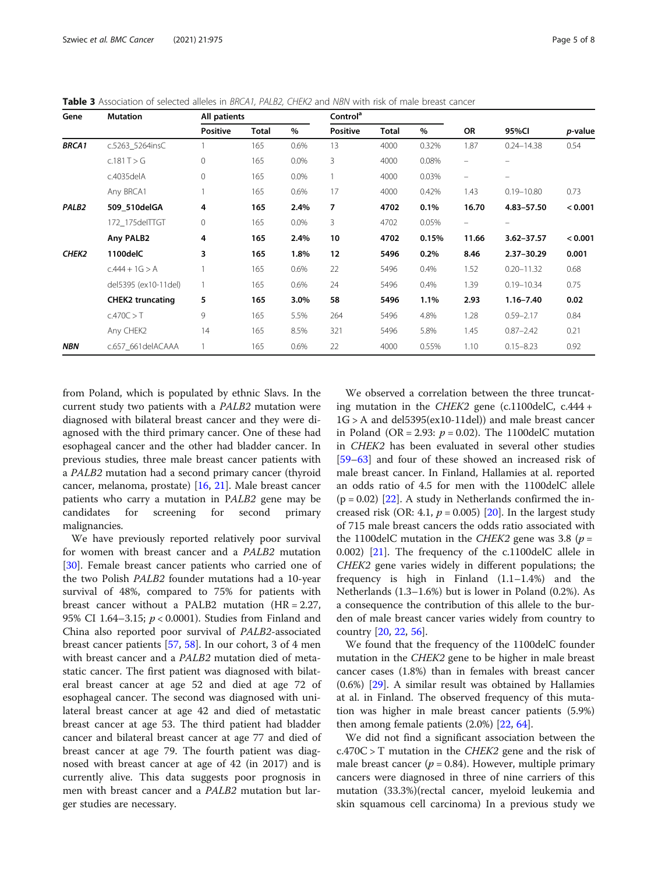<span id="page-4-0"></span>Table 3 Association of selected alleles in BRCA1, PALB2, CHEK2 and NBN with risk of male breast cancer

| Gene              | <b>Mutation</b>         | All patients    |              |      | Control <sup>a</sup> |       |       |                   |                          | p-value |
|-------------------|-------------------------|-----------------|--------------|------|----------------------|-------|-------|-------------------|--------------------------|---------|
|                   |                         | <b>Positive</b> | <b>Total</b> | %    | <b>Positive</b>      | Total | $\%$  | OR                | 95%CI                    |         |
| <b>BRCA1</b>      | c.5263 5264insC         |                 | 165          | 0.6% | 13                   | 4000  | 0.32% | 1.87              | $0.24 - 14.38$           | 0.54    |
|                   | c.181 T > G             | 0               | 165          | 0.0% | 3                    | 4000  | 0.08% | $\qquad \qquad =$ | $\overline{\phantom{0}}$ |         |
|                   | c.4035delA              | 0               | 165          | 0.0% |                      | 4000  | 0.03% | -                 | $\overline{\phantom{0}}$ |         |
|                   | Any BRCA1               |                 | 165          | 0.6% | 17                   | 4000  | 0.42% | 1.43              | $0.19 - 10.80$           | 0.73    |
| PALB <sub>2</sub> | 509 510delGA            | 4               | 165          | 2.4% | 7                    | 4702  | 0.1%  | 16.70             | 4.83-57.50               | < 0.001 |
|                   | 172 175delTTGT          | 0               | 165          | 0.0% | 3                    | 4702  | 0.05% | -                 | $\overline{\phantom{m}}$ |         |
|                   | Any PALB2               | 4               | 165          | 2.4% | 10                   | 4702  | 0.15% | 11.66             | 3.62-37.57               | < 0.001 |
| CHEK <sub>2</sub> | 1100delC                | 3               | 165          | 1.8% | 12                   | 5496  | 0.2%  | 8.46              | $2.37 - 30.29$           | 0.001   |
|                   | $c.444 + 1G > A$        |                 | 165          | 0.6% | 22                   | 5496  | 0.4%  | 1.52              | $0.20 - 11.32$           | 0.68    |
|                   | del5395 (ex10-11del)    |                 | 165          | 0.6% | 24                   | 5496  | 0.4%  | 1.39              | $0.19 - 10.34$           | 0.75    |
|                   | <b>CHEK2 truncating</b> | 5               | 165          | 3.0% | 58                   | 5496  | 1.1%  | 2.93              | $1.16 - 7.40$            | 0.02    |
|                   | c.470C > T              | 9               | 165          | 5.5% | 264                  | 5496  | 4.8%  | 1.28              | $0.59 - 2.17$            | 0.84    |
|                   | Any CHEK2               | 14              | 165          | 8.5% | 321                  | 5496  | 5.8%  | 1.45              | $0.87 - 2.42$            | 0.21    |
| <b>NBN</b>        | c.657 661delACAAA       |                 | 165          | 0.6% | 22                   | 4000  | 0.55% | 1.10              | $0.15 - 8.23$            | 0.92    |

from Poland, which is populated by ethnic Slavs. In the current study two patients with a PALB2 mutation were diagnosed with bilateral breast cancer and they were diagnosed with the third primary cancer. One of these had esophageal cancer and the other had bladder cancer. In previous studies, three male breast cancer patients with a PALB2 mutation had a second primary cancer (thyroid cancer, melanoma, prostate) [\[16,](#page-6-0) [21](#page-6-0)]. Male breast cancer patients who carry a mutation in PALB2 gene may be candidates for screening for second primary malignancies.

We have previously reported relatively poor survival for women with breast cancer and a PALB2 mutation [[30\]](#page-6-0). Female breast cancer patients who carried one of the two Polish PALB2 founder mutations had a 10-year survival of 48%, compared to 75% for patients with breast cancer without a PALB2 mutation (HR = 2.27, 95% CI 1.64–3.15; p < 0.0001). Studies from Finland and China also reported poor survival of PALB2-associated breast cancer patients [\[57,](#page-7-0) [58\]](#page-7-0). In our cohort, 3 of 4 men with breast cancer and a PALB2 mutation died of metastatic cancer. The first patient was diagnosed with bilateral breast cancer at age 52 and died at age 72 of esophageal cancer. The second was diagnosed with unilateral breast cancer at age 42 and died of metastatic breast cancer at age 53. The third patient had bladder cancer and bilateral breast cancer at age 77 and died of breast cancer at age 79. The fourth patient was diagnosed with breast cancer at age of 42 (in 2017) and is currently alive. This data suggests poor prognosis in men with breast cancer and a PALB2 mutation but larger studies are necessary.

We observed a correlation between the three truncating mutation in the CHEK2 gene (c.1100delC, c.444 + 1G > A and del5395(ex10-11del)) and male breast cancer in Poland (OR = 2.93:  $p = 0.02$ ). The 1100delC mutation in CHEK2 has been evaluated in several other studies [[59](#page-7-0)–[63](#page-7-0)] and four of these showed an increased risk of male breast cancer. In Finland, Hallamies at al. reported an odds ratio of 4.5 for men with the 1100delC allele  $(p = 0.02)$  [[22\]](#page-6-0). A study in Netherlands confirmed the increased risk (OR: 4.1,  $p = 0.005$ ) [\[20\]](#page-6-0). In the largest study of 715 male breast cancers the odds ratio associated with the 1100delC mutation in the CHEK2 gene was 3.8 ( $p =$ 0.002) [[21\]](#page-6-0). The frequency of the c.1100delC allele in CHEK2 gene varies widely in different populations; the frequency is high in Finland (1.1–1.4%) and the Netherlands (1.3–1.6%) but is lower in Poland (0.2%). As a consequence the contribution of this allele to the burden of male breast cancer varies widely from country to country [\[20](#page-6-0), [22](#page-6-0), [56\]](#page-7-0).

We found that the frequency of the 1100delC founder mutation in the CHEK2 gene to be higher in male breast cancer cases (1.8%) than in females with breast cancer (0.6%) [\[29\]](#page-6-0). A similar result was obtained by Hallamies at al. in Finland. The observed frequency of this mutation was higher in male breast cancer patients (5.9%) then among female patients (2.0%) [[22,](#page-6-0) [64](#page-7-0)].

We did not find a significant association between the  $c.470C > T$  mutation in the *CHEK2* gene and the risk of male breast cancer ( $p = 0.84$ ). However, multiple primary cancers were diagnosed in three of nine carriers of this mutation (33.3%)(rectal cancer, myeloid leukemia and skin squamous cell carcinoma) In a previous study we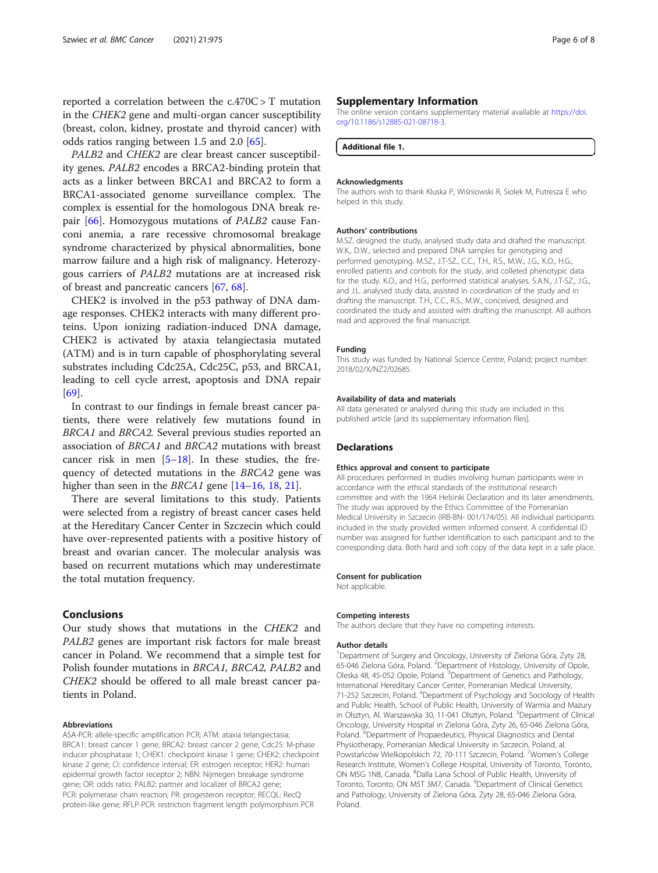reported a correlation between the c.470C > T mutation in the CHEK2 gene and multi-organ cancer susceptibility (breast, colon, kidney, prostate and thyroid cancer) with odds ratios ranging between 1.5 and 2.0 [\[65\]](#page-7-0).

PALB2 and CHEK2 are clear breast cancer susceptibility genes. PALB2 encodes a BRCA2-binding protein that acts as a linker between BRCA1 and BRCA2 to form a BRCA1-associated genome surveillance complex. The complex is essential for the homologous DNA break re-pair [[66\]](#page-7-0). Homozygous mutations of *PALB2* cause Fanconi anemia, a rare recessive chromosomal breakage syndrome characterized by physical abnormalities, bone marrow failure and a high risk of malignancy. Heterozygous carriers of PALB2 mutations are at increased risk of breast and pancreatic cancers [[67](#page-7-0), [68](#page-7-0)].

CHEK2 is involved in the p53 pathway of DNA damage responses. CHEK2 interacts with many different proteins. Upon ionizing radiation-induced DNA damage, CHEK2 is activated by ataxia telangiectasia mutated (ATM) and is in turn capable of phosphorylating several substrates including Cdc25A, Cdc25C, p53, and BRCA1, leading to cell cycle arrest, apoptosis and DNA repair [[69\]](#page-7-0).

In contrast to our findings in female breast cancer patients, there were relatively few mutations found in BRCA1 and BRCA2. Several previous studies reported an association of BRCA1 and BRCA2 mutations with breast cancer risk in men  $[5-18]$  $[5-18]$  $[5-18]$  $[5-18]$ . In these studies, the frequency of detected mutations in the BRCA2 gene was higher than seen in the *BRCA1* gene [\[14](#page-6-0)–[16,](#page-6-0) [18,](#page-6-0) [21\]](#page-6-0).

There are several limitations to this study. Patients were selected from a registry of breast cancer cases held at the Hereditary Cancer Center in Szczecin which could have over-represented patients with a positive history of breast and ovarian cancer. The molecular analysis was based on recurrent mutations which may underestimate the total mutation frequency.

## Conclusions

Our study shows that mutations in the CHEK2 and PALB2 genes are important risk factors for male breast cancer in Poland. We recommend that a simple test for Polish founder mutations in BRCA1, BRCA2, PALB2 and CHEK2 should be offered to all male breast cancer patients in Poland.

#### Abbreviations

ASA-PCR: allele-specific amplification PCR; ATM: ataxia telangiectasia; BRCA1: breast cancer 1 gene; BRCA2: breast cancer 2 gene; Cdc25: M-phase inducer phosphatase 1; CHEK1: checkpoint kinase 1 gene; CHEK2: checkpoint kinase 2 gene; CI: confidence interval; ER: estrogen receptor; HER2: human epidermal growth factor receptor 2; NBN: Nijmegen breakage syndrome gene; OR: odds ratio; PALB2: partner and localizer of BRCA2 gene; PCR: polymerase chain reaction; PR: progesteron receptor; RECQL: RecQ protein-like gene; RFLP-PCR: restriction fragment length polymorphism PCR

#### Supplementary Information

The online version contains supplementary material available at [https://doi.](https://doi.org/10.1186/s12885-021-08718-3) [org/10.1186/s12885-021-08718-3.](https://doi.org/10.1186/s12885-021-08718-3)

Additional file 1.

#### Acknowledgments

The authors wish to thank Kluska P, Wiśniowski R, Siolek M, Putresza E who helped in this study.

#### Authors' contributions

M.SZ. designed the study, analysed study data and drafted the manuscript. W.K., D.W., selected and prepared DNA samples for genotyping and performed genotyping. M.SZ., J.T-SZ., C.C., T.H., R.S., M.W., J.G., K.O., H.G., enrolled patients and controls for the study, and colleted phenotypic data for the study. K.O., and H.G., performed statistical analyses. S.A.N., J.T-SZ., J.G., and J.L. analysed study data, assisted in coordination of the study and in drafting the manuscript. T.H., C.C., R.S., M.W., conceived, designed and coordinated the study and assisted with drafting the manuscript. All authors read and approved the final manuscript.

#### Funding

This study was funded by National Science Centre, Poland; project number: 2018/02/X/NZ2/02685.

#### Availability of data and materials

All data generated or analysed during this study are included in this published article [and its supplementary information files].

#### **Declarations**

#### Ethics approval and consent to participate

All procedures performed in studies involving human participants were in accordance with the ethical standards of the institutional research committee and with the 1964 Helsinki Declaration and its later amendments. The study was approved by the Ethics Committee of the Pomeranian Medical University in Szczecin (IRB-BN- 001/174/05). All individual participants included in the study provided written informed consent. A confidential ID number was assigned for further identification to each participant and to the corresponding data. Both hard and soft copy of the data kept in a safe place.

#### Consent for publication

Not applicable.

#### Competing interests

The authors declare that they have no competing interests.

#### Author details

<sup>1</sup>Department of Surgery and Oncology, University of Zielona Góra, Zyty 28 65-046 Zielona Góra, Poland. <sup>2</sup>Department of Histology, University of Opole Oleska 48, 45-052 Opole, Poland. <sup>3</sup>Department of Genetics and Pathology, International Hereditary Cancer Center, Pomeranian Medical University, 71-252 Szczecin, Poland. <sup>4</sup>Department of Psychology and Sociology of Health and Public Health, School of Public Health, University of Warmia and Mazury in Olsztyn, Al. Warszawska 30, 11-041 Olsztyn, Poland. <sup>5</sup>Department of Clinical Oncology, University Hospital in Zielona Góra, Zyty 26, 65-046 Zielona Góra, Poland.<sup>6</sup> Department of Propaedeutics, Physical Diagnostics and Dental Physiotherapy, Pomeranian Medical University in Szczecin, Poland, al. Powstańców Wielkopolskich 72, 70-111 Szczecin, Poland. <sup>7</sup>Women's College Research Institute, Women's College Hospital, University of Toronto, Toronto, ON M5G 1N8, Canada. <sup>8</sup>Dalla Lana School of Public Health, University of Toronto, Toronto, ON M5T 3M7, Canada. <sup>9</sup>Department of Clinical Genetics and Pathology, University of Zielona Góra, Zyty 28, 65-046 Zielona Góra, Poland.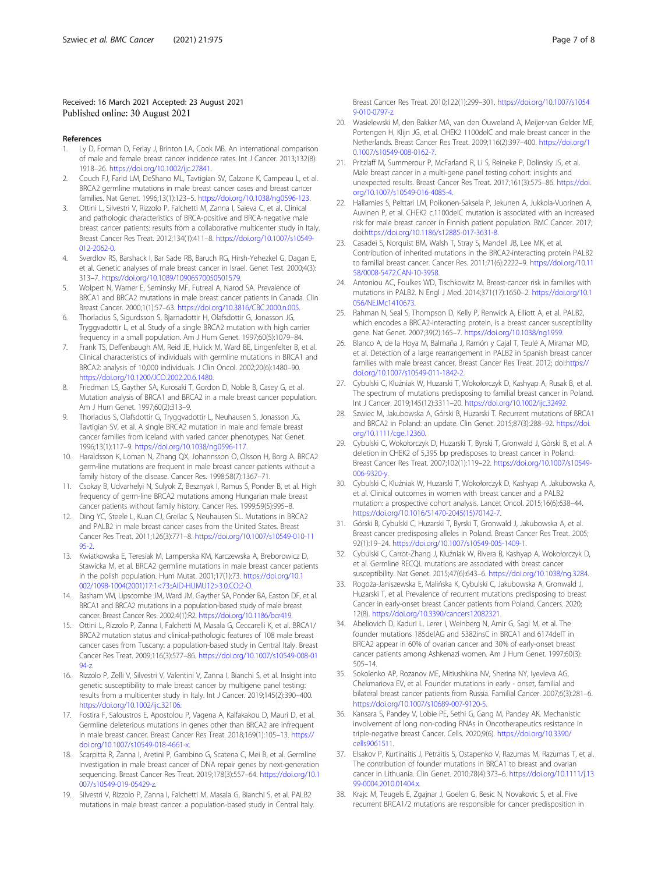#### <span id="page-6-0"></span>Received: 16 March 2021 Accepted: 23 August 2021 Published online: 30 August 2021

#### References

- Ly D, Forman D, Ferlay J, Brinton LA, Cook MB. An international comparison of male and female breast cancer incidence rates. Int J Cancer. 2013;132(8): 1918–26. [https://doi.org/10.1002/ijc.27841.](https://doi.org/10.1002/ijc.27841)
- Couch FJ, Farid LM, DeShano ML, Tavtigian SV, Calzone K, Campeau L, et al. BRCA2 germline mutations in male breast cancer cases and breast cancer families. Nat Genet. 1996;13(1):123–5. <https://doi.org/10.1038/ng0596-123>.
- 3. Ottini L, Silvestri V, Rizzolo P, Falchetti M, Zanna I, Saieva C, et al. Clinical and pathologic characteristics of BRCA-positive and BRCA-negative male breast cancer patients: results from a collaborative multicenter study in Italy. Breast Cancer Res Treat. 2012;134(1):411–8. [https://doi.org/10.1007/s10549-](https://doi.org/10.1007/s10549-012-2062-0) [012-2062-0](https://doi.org/10.1007/s10549-012-2062-0).
- 4. Sverdlov RS, Barshack I, Bar Sade RB, Baruch RG, Hirsh-Yehezkel G, Dagan E, et al. Genetic analyses of male breast cancer in Israel. Genet Test. 2000;4(3): 313–7. <https://doi.org/10.1089/10906570050501579>.
- 5. Wolpert N, Warner E, Seminsky MF, Futreal A, Narod SA. Prevalence of BRCA1 and BRCA2 mutations in male breast cancer patients in Canada. Clin Breast Cancer. 2000;1(1):57–63. [https://doi.org/10.3816/CBC.2000.n.005.](https://doi.org/10.3816/CBC.2000.n.005)
- 6. Thorlacius S, Sigurdsson S, Bjarnadottir H, Olafsdottir G, Jonasson JG, Tryggvadottir L, et al. Study of a single BRCA2 mutation with high carrier frequency in a small population. Am J Hum Genet. 1997;60(5):1079–84.
- 7. Frank TS, Deffenbaugh AM, Reid JE, Hulick M, Ward BE, Lingenfelter B, et al. Clinical characteristics of individuals with germline mutations in BRCA1 and BRCA2: analysis of 10,000 individuals. J Clin Oncol. 2002;20(6):1480–90. <https://doi.org/10.1200/JCO.2002.20.6.1480>.
- 8. Friedman LS, Gayther SA, Kurosaki T, Gordon D, Noble B, Casey G, et al. Mutation analysis of BRCA1 and BRCA2 in a male breast cancer population. Am J Hum Genet. 1997;60(2):313–9.
- 9. Thorlacius S, Olafsdottir G, Tryggvadottir L, Neuhausen S, Jonasson JG, Tavtigian SV, et al. A single BRCA2 mutation in male and female breast cancer families from Iceland with varied cancer phenotypes. Nat Genet. 1996;13(1):117–9. <https://doi.org/10.1038/ng0596-117>.
- 10. Haraldsson K, Loman N, Zhang QX, Johannsson O, Olsson H, Borg A. BRCA2 germ-line mutations are frequent in male breast cancer patients without a family history of the disease. Cancer Res. 1998;58(7):1367–71.
- 11. Csokay B, Udvarhelyi N, Sulyok Z, Besznyak I, Ramus S, Ponder B, et al. High frequency of germ-line BRCA2 mutations among Hungarian male breast cancer patients without family history. Cancer Res. 1999;59(5):995–8.
- 12. Ding YC, Steele L, Kuan CJ, Greilac S, Neuhausen SL. Mutations in BRCA2 and PALB2 in male breast cancer cases from the United States. Breast Cancer Res Treat. 2011;126(3):771–8. [https://doi.org/10.1007/s10549-010-11](https://doi.org/10.1007/s10549-010-1195-2) [95-2](https://doi.org/10.1007/s10549-010-1195-2).
- 13. Kwiatkowska E, Teresiak M, Lamperska KM, Karczewska A, Breborowicz D, Stawicka M, et al. BRCA2 germline mutations in male breast cancer patients in the polish population. Hum Mutat. 2001;17(1):73. [https://doi.org/10.1](https://doi.org/10.1002/1098-1004(2001)17:1<73::AID-HUMU12>3.0.CO;2-O) [002/1098-1004\(2001\)17:1<73::AID-HUMU12>3.0.CO;2-O.](https://doi.org/10.1002/1098-1004(2001)17:1<73::AID-HUMU12>3.0.CO;2-O)
- 14. Basham VM, Lipscombe JM, Ward JM, Gayther SA, Ponder BA, Easton DF, et al. BRCA1 and BRCA2 mutations in a population-based study of male breast cancer. Breast Cancer Res. 2002;4(1):R2. [https://doi.org/10.1186/bcr419.](https://doi.org/10.1186/bcr419)
- 15. Ottini L, Rizzolo P, Zanna I, Falchetti M, Masala G, Ceccarelli K, et al. BRCA1/ BRCA2 mutation status and clinical-pathologic features of 108 male breast cancer cases from Tuscany: a population-based study in Central Italy. Breast Cancer Res Treat. 2009;116(3):577–86. [https://doi.org/10.1007/s10549-008-01](https://doi.org/10.1007/s10549-008-0194-z) [94-z](https://doi.org/10.1007/s10549-008-0194-z).
- 16. Rizzolo P, Zelli V, Silvestri V, Valentini V, Zanna I, Bianchi S, et al. Insight into genetic susceptibility to male breast cancer by multigene panel testing: results from a multicenter study in Italy. Int J Cancer. 2019;145(2):390–400. <https://doi.org/10.1002/ijc.32106>.
- 17. Fostira F, Saloustros E, Apostolou P, Vagena A, Kalfakakou D, Mauri D, et al. Germline deleterious mutations in genes other than BRCA2 are infrequent in male breast cancer. Breast Cancer Res Treat. 2018;169(1):105–13. [https://](https://doi.org/10.1007/s10549-018-4661-x) [doi.org/10.1007/s10549-018-4661-x](https://doi.org/10.1007/s10549-018-4661-x).
- 18. Scarpitta R, Zanna I, Aretini P, Gambino G, Scatena C, Mei B, et al. Germline investigation in male breast cancer of DNA repair genes by next-generation sequencing. Breast Cancer Res Treat. 2019;178(3):557–64. [https://doi.org/10.1](https://doi.org/10.1007/s10549-019-05429-z) [007/s10549-019-05429-z](https://doi.org/10.1007/s10549-019-05429-z).
- 19. Silvestri V, Rizzolo P, Zanna I, Falchetti M, Masala G, Bianchi S, et al. PALB2 mutations in male breast cancer: a population-based study in Central Italy.

Breast Cancer Res Treat. 2010;122(1):299–301. [https://doi.org/10.1007/s1054](https://doi.org/10.1007/s10549-010-0797-z) [9-010-0797-z](https://doi.org/10.1007/s10549-010-0797-z).

- 20. Wasielewski M, den Bakker MA, van den Ouweland A, Meijer-van Gelder ME, Portengen H, Klijn JG, et al. CHEK2 1100delC and male breast cancer in the Netherlands. Breast Cancer Res Treat. 2009;116(2):397–400. [https://doi.org/1](https://doi.org/10.1007/s10549-008-0162-7) [0.1007/s10549-008-0162-7.](https://doi.org/10.1007/s10549-008-0162-7)
- 21. Pritzlaff M, Summerour P, McFarland R, Li S, Reineke P, Dolinsky JS, et al. Male breast cancer in a multi-gene panel testing cohort: insights and unexpected results. Breast Cancer Res Treat. 2017;161(3):575–86. [https://doi.](https://doi.org/10.1007/s10549-016-4085-4) [org/10.1007/s10549-016-4085-4](https://doi.org/10.1007/s10549-016-4085-4).
- 22. Hallamies S, Pelttari LM, Poikonen-Saksela P, Jekunen A, Jukkola-Vuorinen A, Auvinen P, et al. CHEK2 c.1100delC mutation is associated with an increased risk for male breast cancer in Finnish patient population. BMC Cancer. 2017; doi[:https://doi.org/10.1186/s12885-017-3631-8](https://doi.org/10.1186/s12885-017-3631-8).
- 23. Casadei S, Norquist BM, Walsh T, Stray S, Mandell JB, Lee MK, et al. Contribution of inherited mutations in the BRCA2-interacting protein PALB2 to familial breast cancer. Cancer Res. 2011;71(6):2222–9. [https://doi.org/10.11](https://doi.org/10.1158/0008-5472.CAN-10-3958) [58/0008-5472.CAN-10-3958.](https://doi.org/10.1158/0008-5472.CAN-10-3958)
- 24. Antoniou AC, Foulkes WD, Tischkowitz M. Breast-cancer risk in families with mutations in PALB2. N Engl J Med. 2014;371(17):1650–2. [https://doi.org/10.1](https://doi.org/10.1056/NEJMc1410673) [056/NEJMc1410673](https://doi.org/10.1056/NEJMc1410673).
- 25. Rahman N, Seal S, Thompson D, Kelly P, Renwick A, Elliott A, et al. PALB2, which encodes a BRCA2-interacting protein, is a breast cancer susceptibility gene. Nat Genet. 2007;39(2):165–7. [https://doi.org/10.1038/ng1959.](https://doi.org/10.1038/ng1959)
- 26. Blanco A, de la Hoya M, Balmaña J, Ramón y Cajal T, Teulé A, Miramar MD, et al. Detection of a large rearrangement in PALB2 in Spanish breast cancer families with male breast cancer. Breast Cancer Res Treat. 2012; doi:[https://](https://doi.org/10.1007/s10549-011-1842-2) [doi.org/10.1007/s10549-011-1842-2.](https://doi.org/10.1007/s10549-011-1842-2)
- 27. Cybulski C, Kluźniak W, Huzarski T, Wokołorczyk D, Kashyap A, Rusak B, et al. The spectrum of mutations predisposing to familial breast cancer in Poland. Int J Cancer. 2019;145(12):3311–20. [https://doi.org/10.1002/ijc.32492.](https://doi.org/10.1002/ijc.32492)
- 28. Szwiec M, Jakubowska A, Górski B, Huzarski T. Recurrent mutations of BRCA1 and BRCA2 in Poland: an update. Clin Genet. 2015;87(3):288–92. [https://doi.](https://doi.org/10.1111/cge.12360) [org/10.1111/cge.12360.](https://doi.org/10.1111/cge.12360)
- 29. Cybulski C, Wokołorczyk D, Huzarski T, Byrski T, Gronwald J, Górski B, et al. A deletion in CHEK2 of 5,395 bp predisposes to breast cancer in Poland. Breast Cancer Res Treat. 2007;102(1):119–22. [https://doi.org/10.1007/s10549-](https://doi.org/10.1007/s10549-006-9320-y) [006-9320-y.](https://doi.org/10.1007/s10549-006-9320-y)
- 30. Cybulski C, Kluźniak W, Huzarski T, Wokołorczyk D, Kashyap A, Jakubowska A, et al. Clinical outcomes in women with breast cancer and a PALB2 mutation: a prospective cohort analysis. Lancet Oncol. 2015;16(6):638–44. [https://doi.org/10.1016/S1470-2045\(15\)70142-7.](https://doi.org/10.1016/S1470-2045(15)70142-7)
- 31. Górski B, Cybulski C, Huzarski T, Byrski T, Gronwald J, Jakubowska A, et al. Breast cancer predisposing alleles in Poland. Breast Cancer Res Treat. 2005; 92(1):19–24. [https://doi.org/10.1007/s10549-005-1409-1.](https://doi.org/10.1007/s10549-005-1409-1)
- 32. Cybulski C, Carrot-Zhang J, Kluźniak W, Rivera B, Kashyap A, Wokołorczyk D, et al. Germline RECQL mutations are associated with breast cancer susceptibility. Nat Genet. 2015;47(6):643–6. <https://doi.org/10.1038/ng.3284>.
- 33. Rogoża-Janiszewska E, Malińska K, Cybulski C, Jakubowska A, Gronwald J, Huzarski T, et al. Prevalence of recurrent mutations predisposing to breast Cancer in early-onset breast Cancer patients from Poland. Cancers. 2020; 12(8). [https://doi.org/10.3390/cancers12082321.](https://doi.org/10.3390/cancers12082321)
- 34. Abeliovich D, Kaduri L, Lerer I, Weinberg N, Amir G, Sagi M, et al. The founder mutations 185delAG and 5382insC in BRCA1 and 6174delT in BRCA2 appear in 60% of ovarian cancer and 30% of early-onset breast cancer patients among Ashkenazi women. Am J Hum Genet. 1997;60(3): 505–14.
- 35. Sokolenko AP, Rozanov ME, Mitiushkina NV, Sherina NY, Iyevleva AG, Chekmariova EV, et al. Founder mutations in early - onset, familial and bilateral breast cancer patients from Russia. Familial Cancer. 2007;6(3):281–6. <https://doi.org/10.1007/s10689-007-9120-5>.
- 36. Kansara S, Pandey V, Lobie PE, Sethi G, Gang M, Pandey AK. Mechanistic involvement of long non-coding RNAs in Oncotherapeutics resistance in triple-negative breast Cancer. Cells. 2020;9(6). [https://doi.org/10.3390/](https://doi.org/10.3390/cells9061511) [cells9061511.](https://doi.org/10.3390/cells9061511)
- 37. Elsakov P, Kurtinaitis J, Petraitis S, Ostapenko V, Razumas M, Razumas T, et al. The contribution of founder mutations in BRCA1 to breast and ovarian cancer in Lithuania. Clin Genet. 2010;78(4):373–6. [https://doi.org/10.1111/j.13](https://doi.org/10.1111/j.1399-0004.2010.01404.x) [99-0004.2010.01404.x.](https://doi.org/10.1111/j.1399-0004.2010.01404.x)
- 38. Krajc M, Teugels E, Zgajnar J, Goelen G, Besic N, Novakovic S, et al. Five recurrent BRCA1/2 mutations are responsible for cancer predisposition in